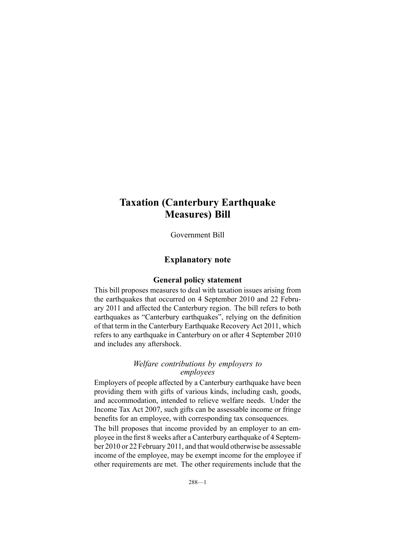# **Taxation (Canterbury Earthquake Measures) Bill**

Government Bill

# **Explanatory note**

### **General policy statement**

This bill proposes measures to deal with taxation issues arising from the earthquakes that occurred on 4 September 2010 and 22 February 2011 and affected the Canterbury region. The bill refers to both earthquakes as "Canterbury earthquakes", relying on the definition of that term in the Canterbury Earthquake Recovery Act 2011, which refers to any earthquake in Canterbury on or after 4 September 2010 and includes any aftershock.

#### *Welfare contributions by employers to employees*

Employers of people affected by <sup>a</sup> Canterbury earthquake have been providing them with gifts of various kinds, including cash, goods, and accommodation, intended to relieve welfare needs. Under the Income Tax Act 2007, such gifts can be assessable income or fringe benefits for an employee, with corresponding tax consequences.

The bill proposes that income provided by an employer to an employee in the first 8 weeks after <sup>a</sup> Canterbury earthquake of 4 September 2010 or 22 February 2011, and that would otherwise be assessable income of the employee, may be exemp<sup>t</sup> income for the employee if other requirements are met. The other requirements include that the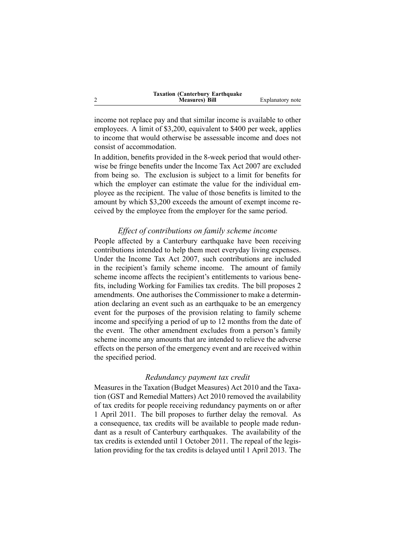| <b>Taxation (Canterbury Earthquake)</b> |                  |
|-----------------------------------------|------------------|
| <b>Measures</b> ) Bill                  | Explanatory note |

income not replace pay and that similar income is available to other employees. A limit of \$3,200, equivalent to \$400 per week, applies to income that would otherwise be assessable income and does not consist of accommodation.

2

In addition, benefits provided in the 8-week period that would otherwise be fringe benefits under the Income Tax Act 2007 are excluded from being so. The exclusion is subject to <sup>a</sup> limit for benefits for which the employer can estimate the value for the individual employee as the recipient. The value of those benefits is limited to the amount by which \$3,200 exceeds the amount of exemp<sup>t</sup> income received by the employee from the employer for the same period.

#### *Effect of contributions on family scheme income*

People affected by <sup>a</sup> Canterbury earthquake have been receiving contributions intended to help them meet everyday living expenses. Under the Income Tax Act 2007, such contributions are included in the recipient's family scheme income. The amount of family scheme income affects the recipient's entitlements to various benefits, including Working for Families tax credits. The bill proposes 2 amendments. One authorises the Commissioner to make <sup>a</sup> determination declaring an event such as an earthquake to be an emergency event for the purposes of the provision relating to family scheme income and specifying <sup>a</sup> period of up to 12 months from the date of the event. The other amendment excludes from <sup>a</sup> person's family scheme income any amounts that are intended to relieve the adverse effects on the person of the emergency event and are received within the specified period.

#### *Redundancy paymen<sup>t</sup> tax credit*

Measures in the Taxation (Budget Measures) Act 2010 and the Taxation (GST and Remedial Matters) Act 2010 removed the availability of tax credits for people receiving redundancy payments on or after 1 April 2011. The bill proposes to further delay the removal. As <sup>a</sup> consequence, tax credits will be available to people made redundant as <sup>a</sup> result of Canterbury earthquakes. The availability of the tax credits is extended until 1 October 2011. The repeal of the legislation providing for the tax credits is delayed until 1 April 2013. The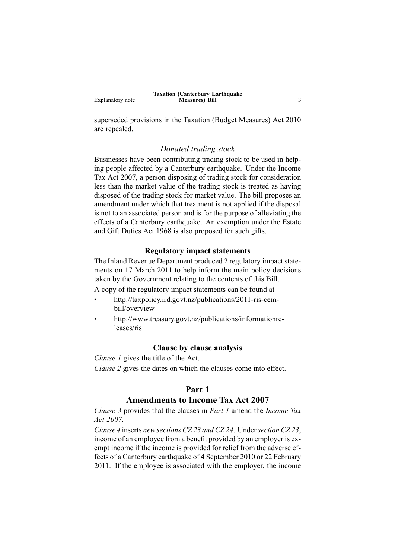superseded provisions in the Taxation (Budget Measures) Act 2010 are repealed.

#### *Donated trading stock*

Businesses have been contributing trading stock to be used in helping people affected by <sup>a</sup> Canterbury earthquake. Under the Income Tax Act 2007, <sup>a</sup> person disposing of trading stock for consideration less than the market value of the trading stock is treated as having disposed of the trading stock for market value. The bill proposes an amendment under which that treatment is not applied if the disposal is not to an associated person and is for the purpose of alleviating the effects of <sup>a</sup> Canterbury earthquake. An exemption under the Estate and Gift Duties Act 1968 is also proposed for such gifts.

# **Regulatory impact statements**

The Inland Revenue Department produced 2 regulatory impact statements on 17 March 2011 to help inform the main policy decisions taken by the Government relating to the contents of this Bill.

A copy of the regulatory impact statements can be found at—

- • [http://taxpolicy.ird.govt.nz/publications/2011-ris-cem](http://taxpolicy.ird.govt.nz/publications/2011-ris-cem-bill/overview)[bill/overview](http://taxpolicy.ird.govt.nz/publications/2011-ris-cem-bill/overview)
- • [http://www.treasury.govt.nz/publications/informationre](http://www.treasury.govt.nz/publications/informationreleases/ris)[leases/ris](http://www.treasury.govt.nz/publications/informationreleases/ris)

#### **Clause by clause analysis**

*Clause 1* gives the title of the Act.

*Clause 2* gives the dates on which the clauses come into effect.

# **Part 1**

# **Amendments to Income Tax Act 2007**

*Clause 3* provides that the clauses in *Part 1* amend the *Income Tax Act 2007*.

*Clause 4* inserts *new sections CZ 23 and CZ 24*. Under*section CZ 23*, income of an employee from <sup>a</sup> benefit provided by an employer is exemp<sup>t</sup> income if the income is provided for relief from the adverse effects of <sup>a</sup> Canterbury earthquake of 4 September 2010 or 22 February 2011. If the employee is associated with the employer, the income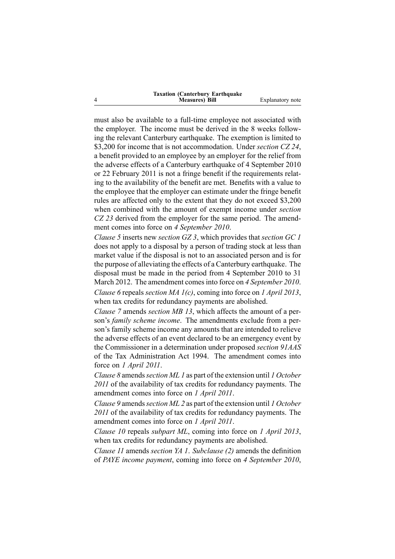| <b>Taxation (Canterbury Earthquake)</b> |                  |
|-----------------------------------------|------------------|
| <b>Measures</b> ) Bill                  | Explanatory note |

must also be available to <sup>a</sup> full-time employee not associated with the employer. The income must be derived in the 8 weeks following the relevant Canterbury earthquake. The exemption is limited to \$3,200 for income that is not accommodation. Under *section CZ 24*, <sup>a</sup> benefit provided to an employee by an employer for the relief from the adverse effects of <sup>a</sup> Canterbury earthquake of 4 September 2010 or 22 February 2011 is not <sup>a</sup> fringe benefit if the requirements relating to the availability of the benefit are met. Benefits with <sup>a</sup> value to the employee that the employer can estimate under the fringe benefit rules are affected only to the extent that they do not exceed \$3,200 when combined with the amount of exemp<sup>t</sup> income under *section CZ 23* derived from the employer for the same period. The amendment comes into force on *4 September 2010*.

*Clause 5* inserts new *section GZ 3*, which provides that *section GC 1* does not apply to <sup>a</sup> disposal by <sup>a</sup> person of trading stock at less than market value if the disposal is not to an associated person and is for the purpose of alleviating the effects of <sup>a</sup> Canterbury earthquake. The disposal must be made in the period from 4 September 2010 to 31 March 2012. The amendment comesinto force on *4 September 2010*. *Clause 6* repeals *section MA 1(c)*, coming into force on *1 April 2013*, when tax credits for redundancy payments are abolished.

*Clause 7* amends *section MB 13*, which affects the amount of <sup>a</sup> person's *family scheme income*. The amendments exclude from <sup>a</sup> person's family scheme income any amounts that are intended to relieve the adverse effects of an event declared to be an emergency event by the Commissioner in <sup>a</sup> determination under proposed *section 91AAS* of the Tax Administration Act 1994. The amendment comes into force on *1 April 2011*.

*Clause 8* amends*section ML 1* as par<sup>t</sup> of the extension until *1 October 2011* of the availability of tax credits for redundancy payments. The amendment comes into force on *1 April 2011*.

*Clause 9* amends*section ML 2* as par<sup>t</sup> of the extension until *1 October 2011* of the availability of tax credits for redundancy payments. The amendment comes into force on *1 April 2011*.

*Clause 10* repeals *subpart ML*, coming into force on *1 April 2013*, when tax credits for redundancy payments are abolished.

*Clause 11* amends *section YA 1*. *Subclause (2)* amends the definition of *PAYE income payment*, coming into force on *4 September 2010*,

4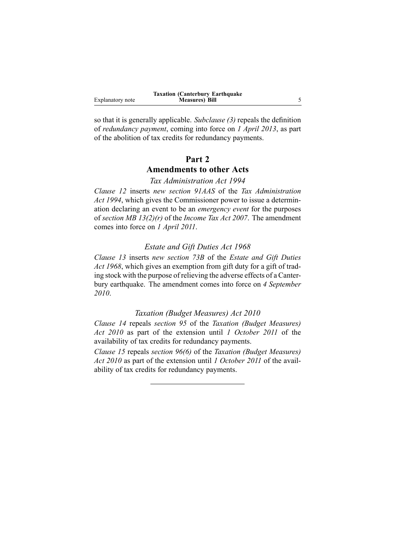|                  | <b>Taxation (Canterbury Earthquake)</b> |  |
|------------------|-----------------------------------------|--|
| Explanatory note | <b>Measures</b> ) Bill                  |  |

so that it is generally applicable. *Subclause (3)* repeals the definition of *redundancy payment*, coming into force on *1 April 2013*, as par<sup>t</sup> of the abolition of tax credits for redundancy payments.

# **Part 2**

# **Amendments to other Acts**

*Tax Administration Act 1994*

*Clause 12* inserts *new section 91AAS* of the *Tax Administration Act 1994*, which gives the Commissioner power to issue <sup>a</sup> determination declaring an event to be an *emergency event* for the purposes of *section MB 13(2)(r)* of the *Income Tax Act 2007*. The amendment comes into force on *1 April 2011*.

#### *Estate and Gift Duties Act 1968*

*Clause 13* inserts *new section 73B* of the *Estate and Gift Duties Act 1968*, which gives an exemption from gift duty for <sup>a</sup> gift of trading stock with the purpose of relieving the adverse effects of <sup>a</sup> Canterbury earthquake. The amendment comes into force on *4 September 2010*.

#### *Taxation (Budget Measures) Act 2010*

*Clause 14* repeals *section 95* of the *Taxation (Budget Measures) Act 2010* as par<sup>t</sup> of the extension until *1 October 2011* of the availability of tax credits for redundancy payments.

*Clause 15* repeals *section 96(6)* of the *Taxation (Budget Measures) Act 2010* as par<sup>t</sup> of the extension until *1 October 2011* of the availability of tax credits for redundancy payments.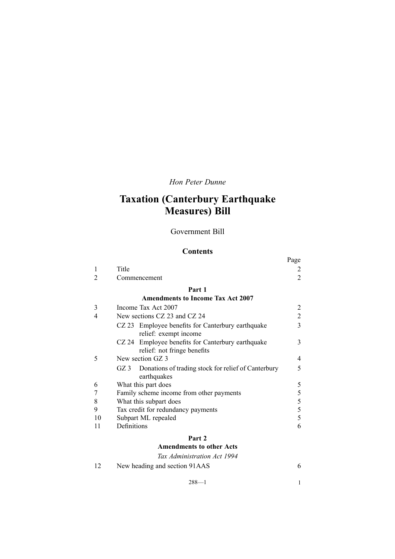# *Hon Peter Dunne*

# **Taxation (Canterbury Earthquake Measures) Bill**

### Government Bill

# **Contents**

|    |                                                                            | Page |
|----|----------------------------------------------------------------------------|------|
| 1  | Title                                                                      |      |
| 2  | Commencement                                                               | 2    |
|    | Part 1                                                                     |      |
|    | <b>Amendments to Income Tax Act 2007</b>                                   |      |
| 3  | Income Tax Act 2007                                                        |      |
| 4  | New sections CZ 23 and CZ 24                                               | 2    |
|    | CZ 23 Employee benefits for Canterbury earthquake                          | 3    |
|    | relief: exempt income                                                      |      |
|    | CZ 24 Employee benefits for Canterbury earthquake                          | 3    |
|    | relief: not fringe benefits                                                |      |
| 5  | New section GZ 3                                                           | 4    |
|    | Donations of trading stock for relief of Canterbury<br>GZ 3<br>earthquakes | 5    |
| 6  | What this part does                                                        | 5    |
|    | Family scheme income from other payments                                   | 5    |
| 8  | What this subpart does                                                     | 5    |
| 9  | Tax credit for redundancy payments                                         | 5    |
| 10 | Subpart ML repealed                                                        | 5    |
| 11 | Definitions                                                                | 6    |
|    | Part 2                                                                     |      |

# **[Amendments](#page-11-0) to other Acts**

|    | Tax Administration Act 1994   |  |
|----|-------------------------------|--|
| 12 | New heading and section 91AAS |  |

288—1 1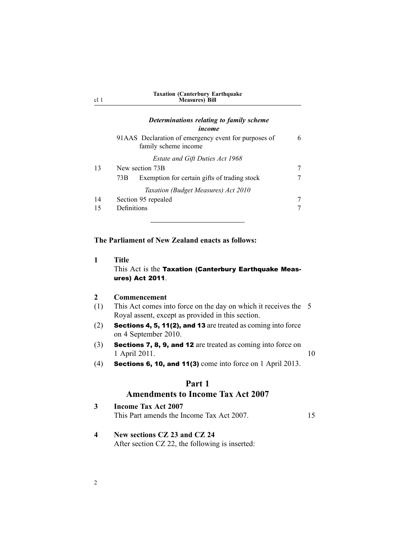<span id="page-7-0"></span>

| cl <sub>1</sub> | $1 - 1$<br><b>Measures</b> ) Bill                                            |   |
|-----------------|------------------------------------------------------------------------------|---|
|                 | Determinations relating to family scheme<br>income                           |   |
|                 | 91AAS Declaration of emergency event for purposes of<br>family scheme income | 6 |
|                 | <b>Estate and Gift Duties Act 1968</b>                                       |   |
| 13              | New section 73B                                                              | 7 |
|                 | Exemption for certain gifts of trading stock<br>73B                          | 7 |
|                 | Taxation (Budget Measures) Act 2010                                          |   |
| 14              | Section 95 repealed                                                          | 7 |
| 15              | Definitions                                                                  |   |

**Taxation (Canterbury Earthquake**

### **The Parliament of New Zealand enacts as follows:**

**1 Title** This Act is the Taxation (Canterbury Earthquake Measures) Act 2011.

#### **2 Commencement**

- (1) This Act comes into force on the day on which it receives the 5 Royal assent, excep<sup>t</sup> as provided in this section.
- (2) Sections 4, 5, 11(2), and <sup>13</sup> are treated as coming into force on 4 September 2010.
- (3) Sections 7, 8, 9, and <sup>12</sup> are treated as coming into force on 1 April 2011. 10
- (4) Sections 6, 10, and 11(3) come into force on 1 April 2013.

# **Part 1**

#### **Amendments to Income Tax Act 2007**

| Income Tax Act 2007                       |  |
|-------------------------------------------|--|
| This Part amends the Income Tax Act 2007. |  |

**4 New sections CZ 23 and CZ 24** After section CZ 22, the following is inserted: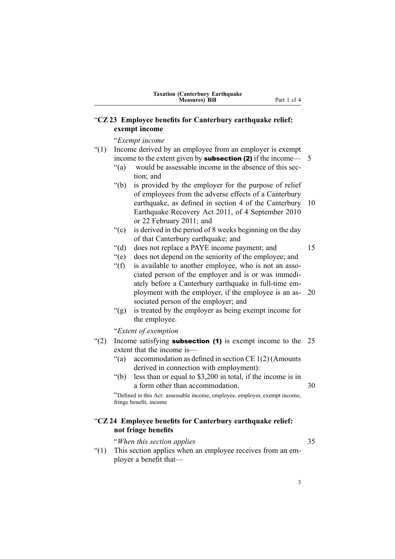# <span id="page-8-0"></span>"**CZ23 Employee benefits for Canterbury earthquake relief: exempt income**

"*Exempt income*

- "(1) Income derived by an employee from an employer is exemp<sup>t</sup> income to the extent given by **subsection (2)** if the income—  $5$ 
	- "(a) would be assessable income in the absence of this section; and
	- "(b) is provided by the employer for the purpose of relief of employees from the adverse effects of <sup>a</sup> Canterbury earthquake, as defined in section 4 of the Canterbury 10 Earthquake Recovery Act 2011, of 4 September 2010 or 22 February 2011; and
	- "(c) is derived in the period of 8 weeks beginning on the day of that Canterbury earthquake; and
	- "(d) does not replace <sup>a</sup> PAYE income payment; and 15
	- "(e) does not depend on the seniority of the employee; and
	- "(f) is available to another employee, who is not an associated person of the employer and is or was immediately before <sup>a</sup> Canterbury earthquake in full-time employment with the employer, if the employee is an as- 20 sociated person of the employer; and
	- "(g) is treated by the employer as being exemp<sup>t</sup> income for the employee.

"*Extent of exemption*

- "(2) Income satisfying **subsection (1)** is exempt income to the  $25$ extent that the income is—
	- "(a) accommodation as defined in section  $CE 1(2)$  (Amounts derived in connection with employment):
	- "(b) less than or equal to \$3,200 in total, if the income is in a form other than accommodation. 30

"Defined in this Act: assessable income, employee, employer, exemp<sup>t</sup> income, fringe benefit, income

# "**CZ24 Employee benefits for Canterbury earthquake relief: not fringe benefits**

"*When this section applies* 35

"(1) This section applies when an employee receives from an employer <sup>a</sup> benefit that—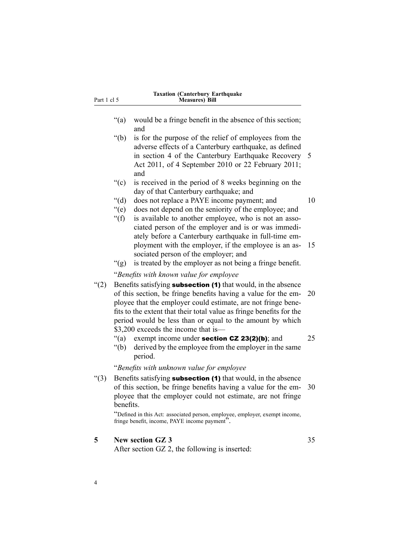<span id="page-9-0"></span>

| Part 1 cl 5 |                                                                                                                                                                                                                                                                                                                                                                              | <b>Taxation (Canterbury Earthquake</b><br><b>Measures</b> ) Bill                                                                                                                                                                                                           |    |
|-------------|------------------------------------------------------------------------------------------------------------------------------------------------------------------------------------------------------------------------------------------------------------------------------------------------------------------------------------------------------------------------------|----------------------------------------------------------------------------------------------------------------------------------------------------------------------------------------------------------------------------------------------------------------------------|----|
|             | ``(a)                                                                                                                                                                                                                                                                                                                                                                        | would be a fringe benefit in the absence of this section;<br>and                                                                                                                                                                                                           |    |
|             | $\degree$ (b)                                                                                                                                                                                                                                                                                                                                                                | is for the purpose of the relief of employees from the<br>adverse effects of a Canterbury earthquake, as defined<br>in section 4 of the Canterbury Earthquake Recovery<br>Act 2011, of 4 September 2010 or 22 February 2011;<br>and                                        | 5  |
|             | ``(c)                                                                                                                                                                                                                                                                                                                                                                        | is received in the period of 8 weeks beginning on the<br>day of that Canterbury earthquake; and                                                                                                                                                                            |    |
|             | " $(d)$ "<br>" $(e)$<br>" $(f)$ "                                                                                                                                                                                                                                                                                                                                            | does not replace a PAYE income payment; and<br>does not depend on the seniority of the employee; and<br>is available to another employee, who is not an asso-                                                                                                              | 10 |
|             | " $(g)$                                                                                                                                                                                                                                                                                                                                                                      | ciated person of the employer and is or was immedi-<br>ately before a Canterbury earthquake in full-time em-<br>ployment with the employer, if the employee is an as-<br>sociated person of the employer; and<br>is treated by the employer as not being a fringe benefit. | 15 |
|             |                                                                                                                                                                                                                                                                                                                                                                              | "Benefits with known value for employee                                                                                                                                                                                                                                    |    |
| (2)         | Benefits satisfying subsection (1) that would, in the absence<br>of this section, be fringe benefits having a value for the em-<br>ployee that the employer could estimate, are not fringe bene-<br>fits to the extent that their total value as fringe benefits for the<br>period would be less than or equal to the amount by which<br>\$3,200 exceeds the income that is— |                                                                                                                                                                                                                                                                            | 20 |
|             | " $(a)$<br>" $(b)$                                                                                                                                                                                                                                                                                                                                                           | exempt income under section $CZ$ 23(2)(b); and<br>derived by the employee from the employer in the same<br>period.                                                                                                                                                         | 25 |
|             |                                                                                                                                                                                                                                                                                                                                                                              | "Benefits with unknown value for employee                                                                                                                                                                                                                                  |    |
| " $(3)$     | benefits.                                                                                                                                                                                                                                                                                                                                                                    | Benefits satisfying <b>subsection (1)</b> that would, in the absence<br>of this section, be fringe benefits having a value for the em-<br>ployee that the employer could not estimate, are not fringe                                                                      | 30 |
|             |                                                                                                                                                                                                                                                                                                                                                                              | "Defined in this Act: associated person, employee, employer, exempt income,<br>fringe benefit, income, PAYE income payment".                                                                                                                                               |    |
| 5           |                                                                                                                                                                                                                                                                                                                                                                              | <b>New section GZ 3</b><br>After section GZ 2, the following is inserted:                                                                                                                                                                                                  | 35 |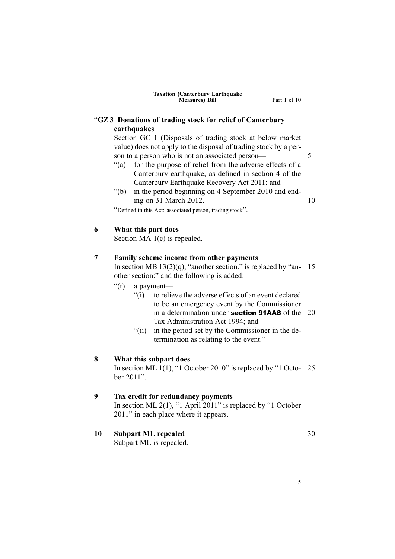# <span id="page-10-0"></span>"**GZ3 Donations of trading stock for relief of Canterbury earthquakes**

Section GC 1 (Disposals of trading stock at below market value) does not apply to the disposal of trading stock by <sup>a</sup> person to a person who is not an associated person— 5

- "(a) for the purpose of relief from the adverse effects of <sup>a</sup> Canterbury earthquake, as defined in section 4 of the Canterbury Earthquake Recovery Act 2011; and
- "(b) in the period beginning on 4 September 2010 and ending on 31 March 2012. 10

"Defined in this Act: associated person, trading stock".

#### **6 What this part does**

Section MA 1(c) is repealed.

#### **7 Family scheme income from other payments**

In section MB  $13(2)(q)$ , "another section." is replaced by "an- 15 other section:" and the following is added:

- "(r) <sup>a</sup> payment—
	- "(i) to relieve the adverse effects of an event declared to be an emergency event by the Commissioner in a determination under **section 91AAS** of the  $20$ Tax Administration Act 1994; and
	- "(ii) in the period set by the Commissioner in the determination as relating to the event."

#### **8 What this subpart does**

In section ML 1(1), "1 October 2010" is replaced by "1 Octo- 25 ber 2011".

# **9 Tax credit for redundancy payments**

In section ML 2(1), "1 April 2011" is replaced by "1 October 2011" in each place where it appears.

**10 Subpart ML repealed** 30

Subpart ML is repealed.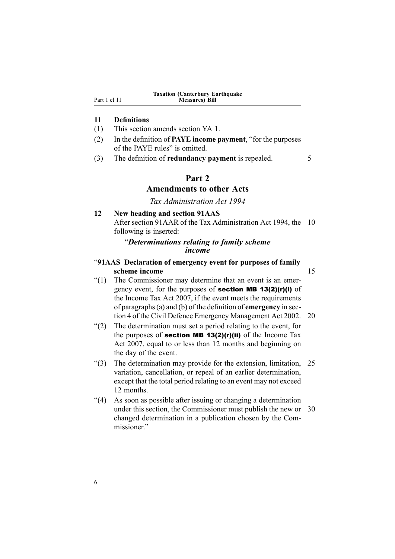#### <span id="page-11-0"></span>**11 Definitions**

- (1) This section amends section YA 1.
- (2) In the definition of **PAYE income payment**, "for the purposes of the PAYE rules" is omitted.
- (3) The definition of **redundancy paymen<sup>t</sup>** is repealed. 5

#### **Part 2**

# **Amendments to other Acts**

*Tax Administration Act 1994*

#### **12 New heading and section 91AAS**

After section 91AAR of the Tax Administration Act 1994, the 10 following is inserted:

### "*Determinations relating to family scheme income*

### "**91AAS Declaration of emergency event for purposes of family scheme income** 15

- "(1) The Commissioner may determine that an event is an emergency event, for the purposes of section MB 13(2)(r)(i) of the Income Tax Act 2007, if the event meets the requirements of paragraphs(a) and (b) of the definition of **emergency** in section 4 of the Civil Defence Emergency Management Act 2002. 20
- "(2) The determination must set <sup>a</sup> period relating to the event, for the purposes of **section MB 13(2)(r)(ii)** of the Income Tax Act 2007, equal to or less than 12 months and beginning on the day of the event.
- "(3) The determination may provide for the extension, limitation, 25 variation, cancellation, or repeal of an earlier determination, excep<sup>t</sup> that the total period relating to an event may not exceed 12 months.
- "(4) As soon as possible after issuing or changing <sup>a</sup> determination under this section, the Commissioner must publish the new or 30 changed determination in <sup>a</sup> publication chosen by the Commissioner."